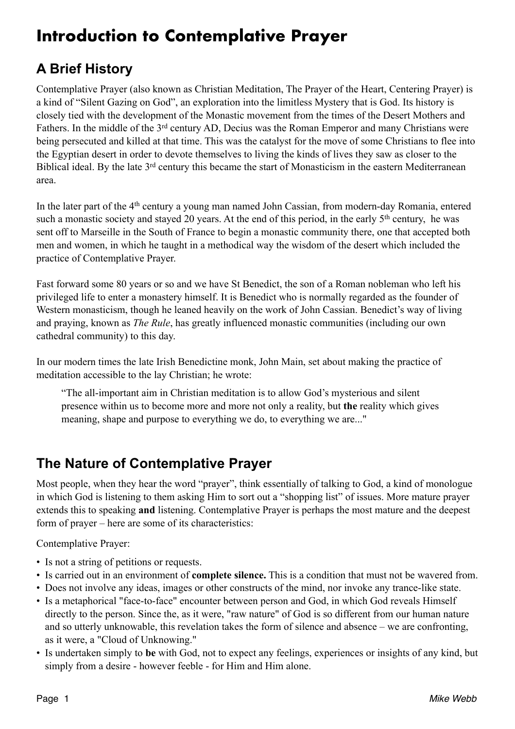# **Introduction to Contemplative Prayer**

### **A Brief History**

Contemplative Prayer (also known as Christian Meditation, The Prayer of the Heart, Centering Prayer) is a kind of "Silent Gazing on God", an exploration into the limitless Mystery that is God. Its history is closely tied with the development of the Monastic movement from the times of the Desert Mothers and Fathers. In the middle of the 3rd century AD, Decius was the Roman Emperor and many Christians were being persecuted and killed at that time. This was the catalyst for the move of some Christians to flee into the Egyptian desert in order to devote themselves to living the kinds of lives they saw as closer to the Biblical ideal. By the late 3<sup>rd</sup> century this became the start of Monasticism in the eastern Mediterranean area.

In the later part of the 4<sup>th</sup> century a young man named John Cassian, from modern-day Romania, entered such a monastic society and stayed 20 years. At the end of this period, in the early 5<sup>th</sup> century, he was sent off to Marseille in the South of France to begin a monastic community there, one that accepted both men and women, in which he taught in a methodical way the wisdom of the desert which included the practice of Contemplative Prayer.

Fast forward some 80 years or so and we have St Benedict, the son of a Roman nobleman who left his privileged life to enter a monastery himself. It is Benedict who is normally regarded as the founder of Western monasticism, though he leaned heavily on the work of John Cassian. Benedict's way of living and praying, known as *The Rule*, has greatly influenced monastic communities (including our own cathedral community) to this day.

In our modern times the late Irish Benedictine monk, John Main, set about making the practice of meditation accessible to the lay Christian; he wrote:

"The all-important aim in Christian meditation is to allow God's mysterious and silent presence within us to become more and more not only a reality, but **the** reality which gives meaning, shape and purpose to everything we do, to everything we are..."

### **The Nature of Contemplative Prayer**

Most people, when they hear the word "prayer", think essentially of talking to God, a kind of monologue in which God is listening to them asking Him to sort out a "shopping list" of issues. More mature prayer extends this to speaking **and** listening. Contemplative Prayer is perhaps the most mature and the deepest form of prayer – here are some of its characteristics:

Contemplative Prayer:

- Is not a string of petitions or requests.
- Is carried out in an environment of **complete silence.** This is a condition that must not be wavered from.
- Does not involve any ideas, images or other constructs of the mind, nor invoke any trance-like state.
- Is a metaphorical "face-to-face" encounter between person and God, in which God reveals Himself directly to the person. Since the, as it were, "raw nature" of God is so different from our human nature and so utterly unknowable, this revelation takes the form of silence and absence – we are confronting, as it were, a "Cloud of Unknowing."
- Is undertaken simply to **be** with God, not to expect any feelings, experiences or insights of any kind, but simply from a desire - however feeble - for Him and Him alone.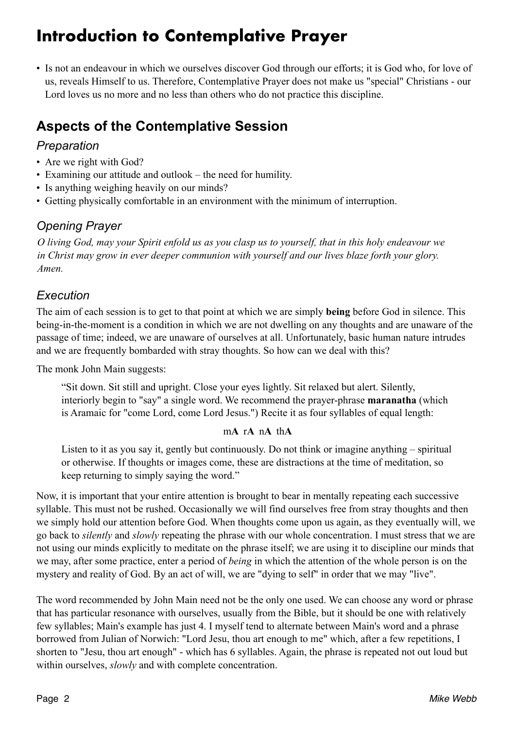## **Introduction to Contemplative Prayer**

• Is not an endeavour in which we ourselves discover God through our efforts; it is God who, for love of us, reveals Himself to us. Therefore, Contemplative Prayer does not make us "special" Christians - our Lord loves us no more and no less than others who do not practice this discipline.

## **Aspects of the Contemplative Session**

#### *Preparation*

- Are we right with God?
- Examining our attitude and outlook the need for humility.
- Is anything weighing heavily on our minds?
- Getting physically comfortable in an environment with the minimum of interruption.

#### *Opening Prayer*

*O living God, may your Spirit enfold us as you clasp us to yourself, that in this holy endeavour we in Christ may grow in ever deeper communion with yourself and our lives blaze forth your glory. Amen.* 

#### *Execution*

The aim of each session is to get to that point at which we are simply **being** before God in silence. This being-in-the-moment is a condition in which we are not dwelling on any thoughts and are unaware of the passage of time; indeed, we are unaware of ourselves at all. Unfortunately, basic human nature intrudes and we are frequently bombarded with stray thoughts. So how can we deal with this?

The monk John Main suggests:

"Sit down. Sit still and upright. Close your eyes lightly. Sit relaxed but alert. Silently, interiorly begin to "say" a single word. We recommend the prayer-phrase **maranatha** (which is Aramaic for "come Lord, come Lord Jesus.") Recite it as four syllables of equal length:

#### m**A** r**A** n**A** th**A**

Listen to it as you say it, gently but continuously. Do not think or imagine anything – spiritual or otherwise. If thoughts or images come, these are distractions at the time of meditation, so keep returning to simply saying the word."

Now, it is important that your entire attention is brought to bear in mentally repeating each successive syllable. This must not be rushed. Occasionally we will find ourselves free from stray thoughts and then we simply hold our attention before God. When thoughts come upon us again, as they eventually will, we go back to *silently* and *slowly* repeating the phrase with our whole concentration. I must stress that we are not using our minds explicitly to meditate on the phrase itself; we are using it to discipline our minds that we may, after some practice, enter a period of *being* in which the attention of the whole person is on the mystery and reality of God. By an act of will, we are "dying to self" in order that we may "live".

The word recommended by John Main need not be the only one used. We can choose any word or phrase that has particular resonance with ourselves, usually from the Bible, but it should be one with relatively few syllables; Main's example has just 4. I myself tend to alternate between Main's word and a phrase borrowed from Julian of Norwich: "Lord Jesu, thou art enough to me" which, after a few repetitions, I shorten to "Jesu, thou art enough" - which has 6 syllables. Again, the phrase is repeated not out loud but within ourselves, *slowly* and with complete concentration.